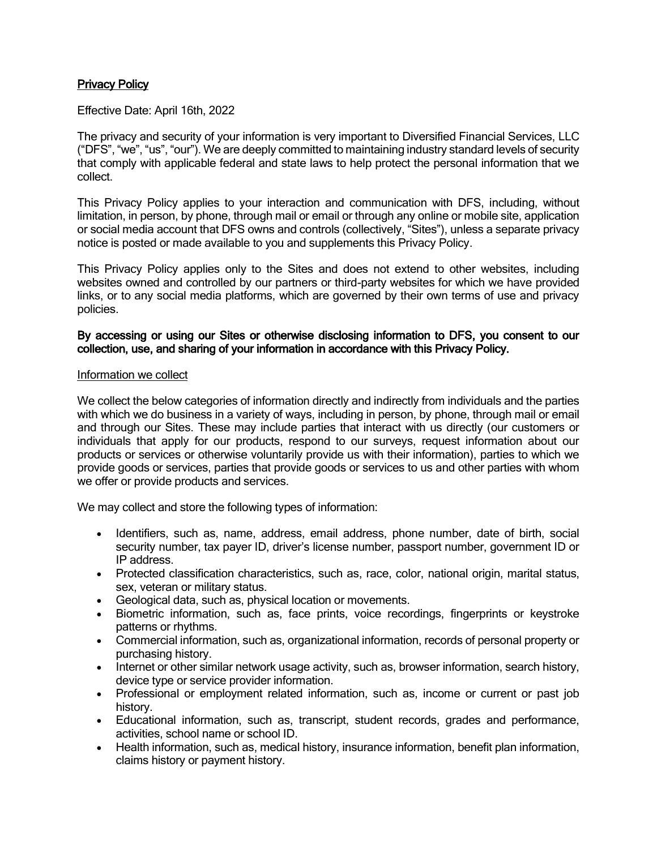# Privacy Policy

Effective Date: April 16th, 2022

The privacy and security of your information is very important to Diversified Financial Services, LLC ("DFS", "we", "us", "our"). We are deeply committed to maintaining industry standard levels of security that comply with applicable federal and state laws to help protect the personal information that we collect.

This Privacy Policy applies to your interaction and communication with DFS, including, without limitation, in person, by phone, through mail or email or through any online or mobile site, application or social media account that DFS owns and controls (collectively, "Sites"), unless a separate privacy notice is posted or made available to you and supplements this Privacy Policy.

This Privacy Policy applies only to the Sites and does not extend to other websites, including websites owned and controlled by our partners or third-party websites for which we have provided links, or to any social media platforms, which are governed by their own terms of use and privacy policies.

## By accessing or using our Sites or otherwise disclosing information to DFS, you consent to our collection, use, and sharing of your information in accordance with this Privacy Policy.

### Information we collect

We collect the below categories of information directly and indirectly from individuals and the parties with which we do business in a variety of ways, including in person, by phone, through mail or email and through our Sites. These may include parties that interact with us directly (our customers or individuals that apply for our products, respond to our surveys, request information about our products or services or otherwise voluntarily provide us with their information), parties to which we provide goods or services, parties that provide goods or services to us and other parties with whom we offer or provide products and services.

We may collect and store the following types of information:

- Identifiers, such as, name, address, email address, phone number, date of birth, social security number, tax payer ID, driver's license number, passport number, government ID or IP address.
- Protected classification characteristics, such as, race, color, national origin, marital status, sex, veteran or military status.
- Geological data, such as, physical location or movements.
- Biometric information, such as, face prints, voice recordings, fingerprints or keystroke patterns or rhythms.
- Commercial information, such as, organizational information, records of personal property or purchasing history.
- Internet or other similar network usage activity, such as, browser information, search history, device type or service provider information.
- Professional or employment related information, such as, income or current or past job history.
- Educational information, such as, transcript, student records, grades and performance, activities, school name or school ID.
- Health information, such as, medical history, insurance information, benefit plan information, claims history or payment history.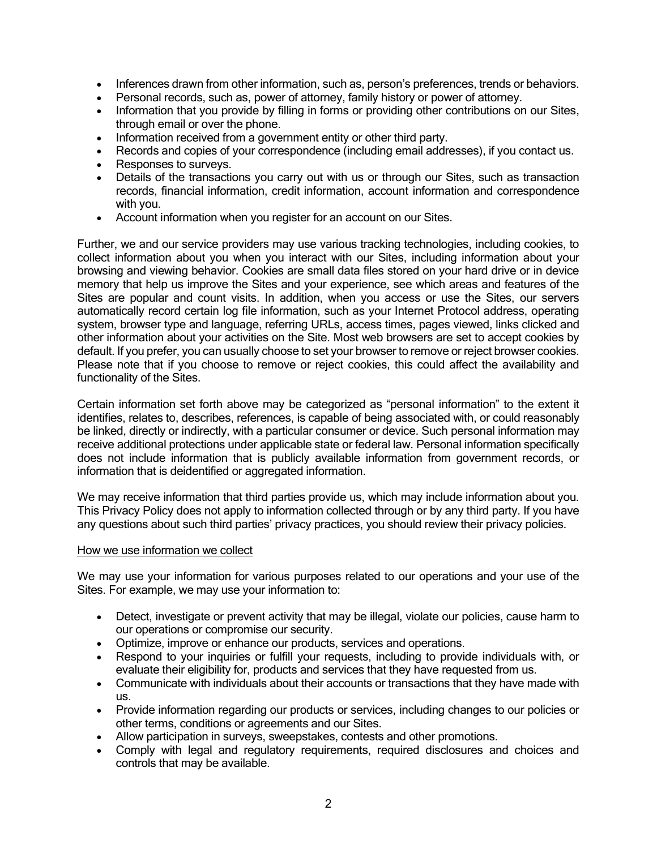- Inferences drawn from other information, such as, person's preferences, trends or behaviors.
- Personal records, such as, power of attorney, family history or power of attorney.
- Information that you provide by filling in forms or providing other contributions on our Sites, through email or over the phone.
- Information received from a government entity or other third party.
- Records and copies of your correspondence (including email addresses), if you contact us.
- Responses to surveys.
- Details of the transactions you carry out with us or through our Sites, such as transaction records, financial information, credit information, account information and correspondence with you.
- Account information when you register for an account on our Sites.

Further, we and our service providers may use various tracking technologies, including cookies, to collect information about you when you interact with our Sites, including information about your browsing and viewing behavior. Cookies are small data files stored on your hard drive or in device memory that help us improve the Sites and your experience, see which areas and features of the Sites are popular and count visits. In addition, when you access or use the Sites, our servers automatically record certain log file information, such as your Internet Protocol address, operating system, browser type and language, referring URLs, access times, pages viewed, links clicked and other information about your activities on the Site. Most web browsers are set to accept cookies by default. If you prefer, you can usually choose to set your browser to remove or reject browser cookies. Please note that if you choose to remove or reject cookies, this could affect the availability and functionality of the Sites.

Certain information set forth above may be categorized as "personal information" to the extent it identifies, relates to, describes, references, is capable of being associated with, or could reasonably be linked, directly or indirectly, with a particular consumer or device. Such personal information may receive additional protections under applicable state or federal law. Personal information specifically does not include information that is publicly available information from government records, or information that is deidentified or aggregated information.

We may receive information that third parties provide us, which may include information about you. This Privacy Policy does not apply to information collected through or by any third party. If you have any questions about such third parties' privacy practices, you should review their privacy policies.

### How we use information we collect

We may use your information for various purposes related to our operations and your use of the Sites. For example, we may use your information to:

- Detect, investigate or prevent activity that may be illegal, violate our policies, cause harm to our operations or compromise our security.
- Optimize, improve or enhance our products, services and operations.
- Respond to your inquiries or fulfill your requests, including to provide individuals with, or evaluate their eligibility for, products and services that they have requested from us.
- Communicate with individuals about their accounts or transactions that they have made with us.
- Provide information regarding our products or services, including changes to our policies or other terms, conditions or agreements and our Sites.
- Allow participation in surveys, sweepstakes, contests and other promotions.
- Comply with legal and regulatory requirements, required disclosures and choices and controls that may be available.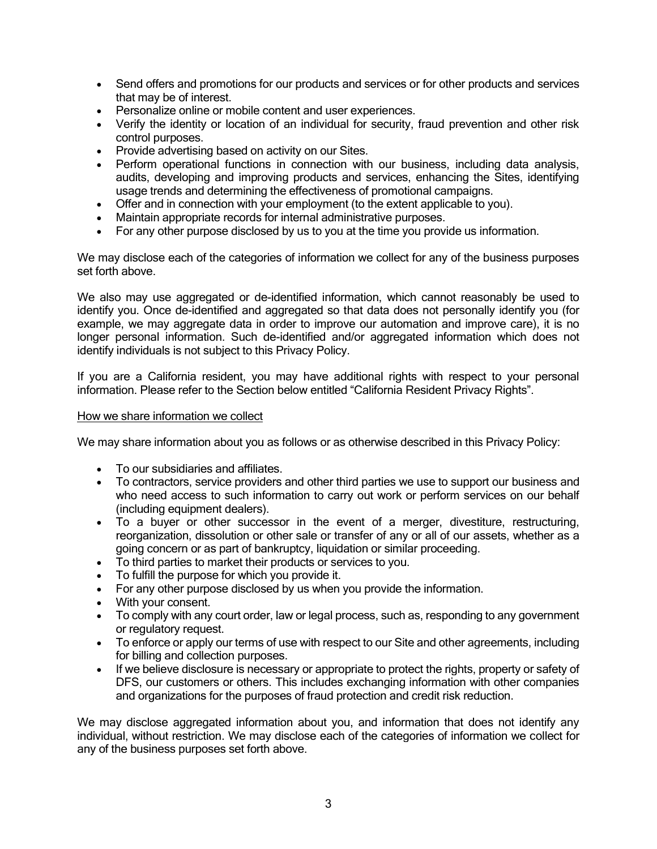- Send offers and promotions for our products and services or for other products and services that may be of interest.
- Personalize online or mobile content and user experiences.
- Verify the identity or location of an individual for security, fraud prevention and other risk control purposes.
- Provide advertising based on activity on our Sites.
- Perform operational functions in connection with our business, including data analysis, audits, developing and improving products and services, enhancing the Sites, identifying usage trends and determining the effectiveness of promotional campaigns.
- Offer and in connection with your employment (to the extent applicable to you).
- Maintain appropriate records for internal administrative purposes.
- For any other purpose disclosed by us to you at the time you provide us information.

We may disclose each of the categories of information we collect for any of the business purposes set forth above.

We also may use aggregated or de-identified information, which cannot reasonably be used to identify you. Once de-identified and aggregated so that data does not personally identify you (for example, we may aggregate data in order to improve our automation and improve care), it is no longer personal information. Such de-identified and/or aggregated information which does not identify individuals is not subject to this Privacy Policy.

If you are a California resident, you may have additional rights with respect to your personal information. Please refer to the Section below entitled "California Resident Privacy Rights".

### How we share information we collect

We may share information about you as follows or as otherwise described in this Privacy Policy:

- To our subsidiaries and affiliates.
- To contractors, service providers and other third parties we use to support our business and who need access to such information to carry out work or perform services on our behalf (including equipment dealers).
- To a buyer or other successor in the event of a merger, divestiture, restructuring, reorganization, dissolution or other sale or transfer of any or all of our assets, whether as a going concern or as part of bankruptcy, liquidation or similar proceeding.
- To third parties to market their products or services to you.
- To fulfill the purpose for which you provide it.
- For any other purpose disclosed by us when you provide the information.
- With your consent.
- To comply with any court order, law or legal process, such as, responding to any government or regulatory request.
- To enforce or apply our terms of use with respect to our Site and other agreements, including for billing and collection purposes.
- If we believe disclosure is necessary or appropriate to protect the rights, property or safety of DFS, our customers or others. This includes exchanging information with other companies and organizations for the purposes of fraud protection and credit risk reduction.

We may disclose aggregated information about you, and information that does not identify any individual, without restriction. We may disclose each of the categories of information we collect for any of the business purposes set forth above.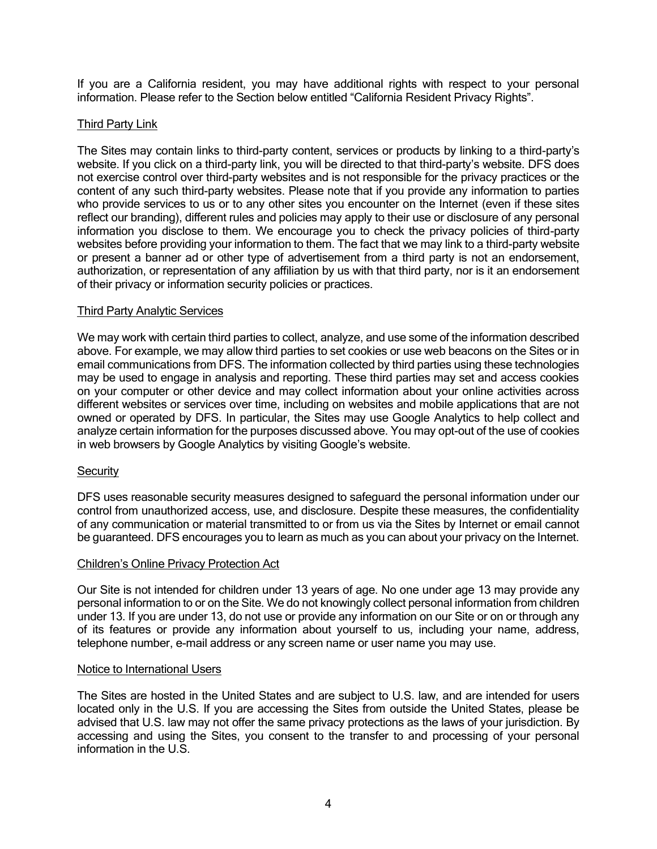If you are a California resident, you may have additional rights with respect to your personal information. Please refer to the Section below entitled "California Resident Privacy Rights".

# Third Party Link

The Sites may contain links to third-party content, services or products by linking to a third-party's website. If you click on a third-party link, you will be directed to that third-party's website. DFS does not exercise control over third-party websites and is not responsible for the privacy practices or the content of any such third-party websites. Please note that if you provide any information to parties who provide services to us or to any other sites you encounter on the Internet (even if these sites reflect our branding), different rules and policies may apply to their use or disclosure of any personal information you disclose to them. We encourage you to check the privacy policies of third-party websites before providing your information to them. The fact that we may link to a third-party website or present a banner ad or other type of advertisement from a third party is not an endorsement, authorization, or representation of any affiliation by us with that third party, nor is it an endorsement of their privacy or information security policies or practices.

### Third Party Analytic Services

We may work with certain third parties to collect, analyze, and use some of the information described above. For example, we may allow third parties to set cookies or use web beacons on the Sites or in email communications from DFS. The information collected by third parties using these technologies may be used to engage in analysis and reporting. These third parties may set and access cookies on your computer or other device and may collect information about your online activities across different websites or services over time, including on websites and mobile applications that are not owned or operated by DFS. In particular, the Sites may use Google Analytics to help collect and analyze certain information for the purposes discussed above. You may opt-out of the use of cookies in web browsers by Google Analytics by visiting Google's website.

### **Security**

DFS uses reasonable security measures designed to safeguard the personal information under our control from unauthorized access, use, and disclosure. Despite these measures, the confidentiality of any communication or material transmitted to or from us via the Sites by Internet or email cannot be guaranteed. DFS encourages you to learn as much as you can about your privacy on the Internet.

### Children's Online Privacy Protection Act

Our Site is not intended for children under 13 years of age. No one under age 13 may provide any personal information to or on the Site. We do not knowingly collect personal information from children under 13. If you are under 13, do not use or provide any information on our Site or on or through any of its features or provide any information about yourself to us, including your name, address, telephone number, e-mail address or any screen name or user name you may use.

### Notice to International Users

The Sites are hosted in the United States and are subject to U.S. law, and are intended for users located only in the U.S. If you are accessing the Sites from outside the United States, please be advised that U.S. law may not offer the same privacy protections as the laws of your jurisdiction. By accessing and using the Sites, you consent to the transfer to and processing of your personal information in the U.S.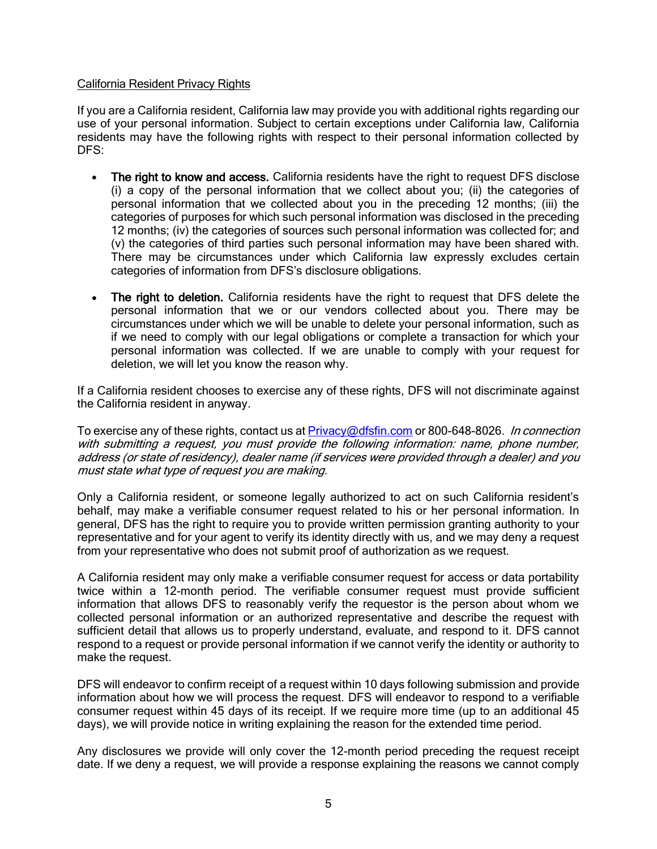## California Resident Privacy Rights

If you are a California resident, California law may provide you with additional rights regarding our use of your personal information. Subject to certain exceptions under California law, California residents may have the following rights with respect to their personal information collected by DFS:

- The right to know and access. California residents have the right to request DFS disclose (i) a copy of the personal information that we collect about you; (ii) the categories of personal information that we collected about you in the preceding 12 months; (iii) the categories of purposes for which such personal information was disclosed in the preceding 12 months; (iv) the categories of sources such personal information was collected for; and (v) the categories of third parties such personal information may have been shared with. There may be circumstances under which California law expressly excludes certain categories of information from DFS's disclosure obligations.
- The right to deletion. California residents have the right to request that DFS delete the personal information that we or our vendors collected about you. There may be circumstances under which we will be unable to delete your personal information, such as if we need to comply with our legal obligations or complete a transaction for which your personal information was collected. If we are unable to comply with your request for deletion, we will let you know the reason why.

If a California resident chooses to exercise any of these rights, DFS will not discriminate against the California resident in anyway.

To exercise any of these rights, contact us at [Privacy@dfsfin.com](mailto:Privacy@dfsfin.com) or 800-648-8026. In connection with submitting a request, you must provide the following information: name, phone number, address (or state of residency), dealer name (if services were provided through a dealer) and you must state what type of request you are making.

Only a California resident, or someone legally authorized to act on such California resident's behalf, may make a verifiable consumer request related to his or her personal information. In general, DFS has the right to require you to provide written permission granting authority to your representative and for your agent to verify its identity directly with us, and we may deny a request from your representative who does not submit proof of authorization as we request.

A California resident may only make a verifiable consumer request for access or data portability twice within a 12-month period. The verifiable consumer request must provide sufficient information that allows DFS to reasonably verify the requestor is the person about whom we collected personal information or an authorized representative and describe the request with sufficient detail that allows us to properly understand, evaluate, and respond to it. DFS cannot respond to a request or provide personal information if we cannot verify the identity or authority to make the request.

DFS will endeavor to confirm receipt of a request within 10 days following submission and provide information about how we will process the request. DFS will endeavor to respond to a verifiable consumer request within 45 days of its receipt. If we require more time (up to an additional 45 days), we will provide notice in writing explaining the reason for the extended time period.

Any disclosures we provide will only cover the 12-month period preceding the request receipt date. If we deny a request, we will provide a response explaining the reasons we cannot comply